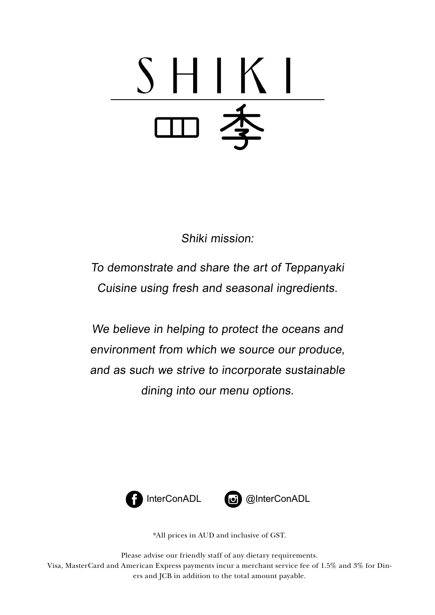# $\mathsf{I}$

Shiki mission:

To demonstrate and share the art of Teppanyaki Cuisine using fresh and seasonal ingredients.

We believe in helping to protect the oceans and environment from which we source our produce, and as such we strive to incorporate sustainable dining into our menu options.





InterConADL **interConADL** 

\*All prices in AUD and inclusive of GST.

Please advise our friendly staff of any dietary requirements. Visa, MasterCard and American Express payments incur a merchant service fee of 1.5% and 3% for Diners and JCB in addition to the total amount payable.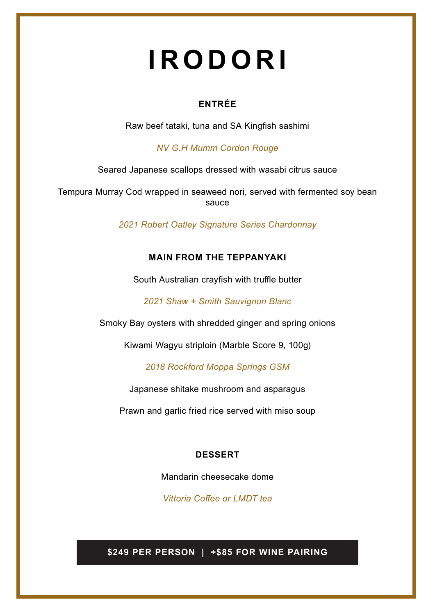# **IRODORI**

#### **ENTRÉE**

Raw beef tataki, tuna and SA Kingfish sashimi

*NV G.H Mumm Cordon Rouge*

Seared Japanese scallops dressed with wasabi citrus sauce

Tempura Murray Cod wrapped in seaweed nori, served with fermented soy bean sauce

*2021 Robert Oatley Signature Series Chardonnay*

#### **MAIN FROM THE TEPPANYAKI**

South Australian crayfish with truffle butter

*2021 Shaw + Smith Sauvignon Blanc* 

Smoky Bay oysters with shredded ginger and spring onions

Kiwami Wagyu striploin (Marble Score 9, 100g)

*2018 Rockford Moppa Springs GSM*

Japanese shitake mushroom and asparagus

Prawn and garlic fried rice served with miso soup

#### **DESSERT**

Mandarin cheesecake dome

*Vittoria Coffee or LMDT tea*

**\$249 PER PERSON | +\$85 FOR WINE PAIRING**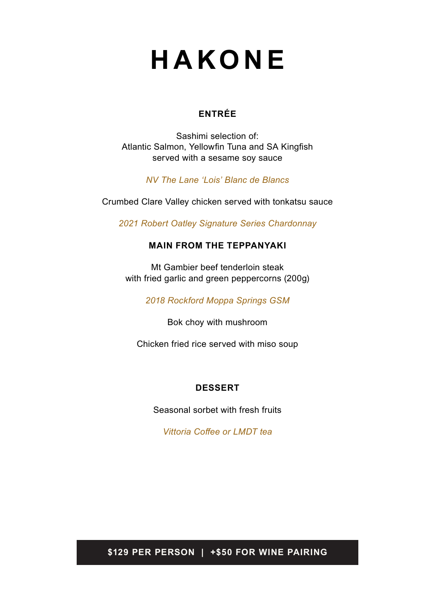# **HAKONE**

#### **ENTRÉE**

Sashimi selection of: Atlantic Salmon, Yellowfin Tuna and SA Kingfish served with a sesame soy sauce

*NV The Lane 'Lois' Blanc de Blancs*

Crumbed Clare Valley chicken served with tonkatsu sauce

*2021 Robert Oatley Signature Series Chardonnay*

#### **MAIN FROM THE TEPPANYAKI**

Mt Gambier beef tenderloin steak with fried garlic and green peppercorns (200g)

*2018 Rockford Moppa Springs GSM*

Bok choy with mushroom

Chicken fried rice served with miso soup

#### **DESSERT**

Seasonal sorbet with fresh fruits

*Vittoria Coffee or LMDT tea*

**\$129 PER PERSON | +\$50 FOR WINE PAIRING**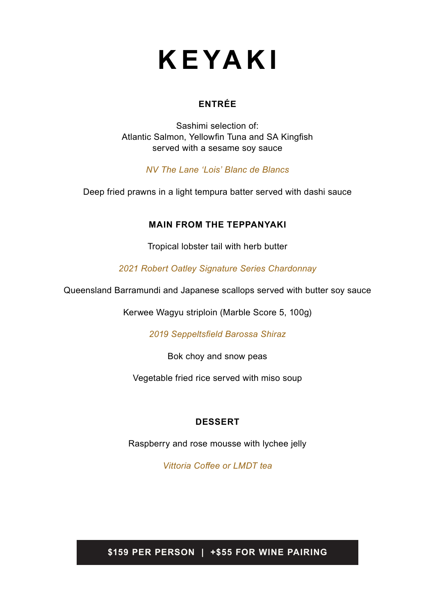# **KEYAKI**

#### **ENTRÉE**

Sashimi selection of: Atlantic Salmon, Yellowfin Tuna and SA Kingfish served with a sesame soy sauce

*NV The Lane 'Lois' Blanc de Blancs*

Deep fried prawns in a light tempura batter served with dashi sauce

#### **MAIN FROM THE TEPPANYAKI**

Tropical lobster tail with herb butter

*2021 Robert Oatley Signature Series Chardonnay*

Queensland Barramundi and Japanese scallops served with butter soy sauce

Kerwee Wagyu striploin (Marble Score 5, 100g)

*2019 Seppeltsfield Barossa Shiraz*

Bok choy and snow peas

Vegetable fried rice served with miso soup

#### **DESSERT**

Raspberry and rose mousse with lychee jelly

*Vittoria Coffee or LMDT tea*

**\$159 PER PERSON | +\$55 FOR WINE PAIRING**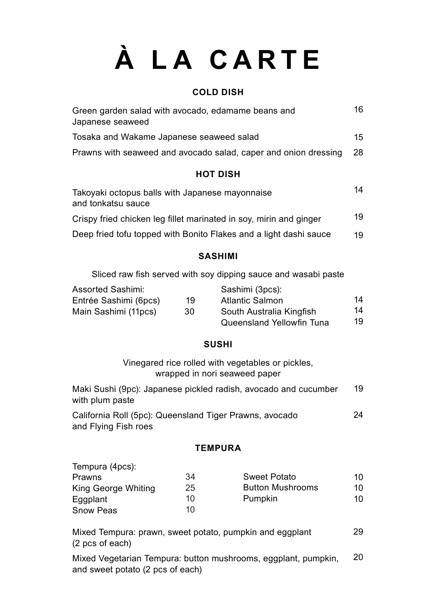# **À LA CARTE**

#### **COLD DISH**

| Green garden salad with avocado, edamame beans and<br>Japanese seaweed | 16  |
|------------------------------------------------------------------------|-----|
| Tosaka and Wakame Japanese seaweed salad                               | 15  |
| Prawns with seaweed and avocado salad, caper and onion dressing        | -28 |
|                                                                        |     |

#### **HOT DISH**

| Takoyaki octopus balls with Japanese mayonnaise<br>and tonkatsu sauce | 14 |
|-----------------------------------------------------------------------|----|
| Crispy fried chicken leg fillet marinated in soy, mirin and ginger    | 19 |
| Deep fried tofu topped with Bonito Flakes and a light dashi sauce     | 19 |

#### **SASHIMI**

Sliced raw fish served with soy dipping sauce and wasabi paste

| <b>Assorted Sashimi:</b> |    | Sashimi (3pcs):                  |    |
|--------------------------|----|----------------------------------|----|
| Entrée Sashimi (6pcs)    | 19 | <b>Atlantic Salmon</b>           | 14 |
| Main Sashimi (11pcs)     | 30 | South Australia Kingfish         | 14 |
|                          |    | <b>Queensland Yellowfin Tuna</b> | 19 |

#### **SUSHI**

Vinegared rice rolled with vegetables or pickles, wrapped in nori seaweed paper

| Maki Sushi (9pc): Japanese pickled radish, avocado and cucumber |  |
|-----------------------------------------------------------------|--|
| with plum paste                                                 |  |

California Roll (5pc): Queensland Tiger Prawns, avocado and Flying Fish roes 24

#### **TEMPURA**

| Tempura (4pcs):     |    |                         |     |
|---------------------|----|-------------------------|-----|
| Prawns              | 34 | <b>Sweet Potato</b>     | 10  |
| King George Whiting | 25 | <b>Button Mushrooms</b> | 10  |
| Eggplant            | 10 | Pumpkin                 | 10. |
| <b>Snow Peas</b>    | 10 |                         |     |

Mixed Tempura: prawn, sweet potato, pumpkin and eggplant (2 pcs of each) 29

Mixed Vegetarian Tempura: button mushrooms, eggplant, pumpkin, and sweet potato (2 pcs of each) 20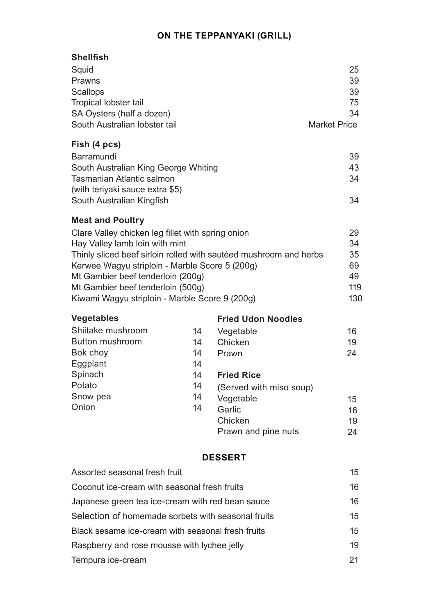#### **ON THE TEPPANYAKI (GRILL)**

#### **Shellfish**

| Squid                         | 25                  |
|-------------------------------|---------------------|
| Prawns                        | 39                  |
| <b>Scallops</b>               | 39                  |
| Tropical lobster tail         | 75                  |
| SA Oysters (half a dozen)     | .34                 |
| South Australian lobster tail | <b>Market Price</b> |

#### **Fish (4 pcs)**

| Barramundi                           | 39  |
|--------------------------------------|-----|
| South Australian King George Whiting | 43  |
| Tasmanian Atlantic salmon            | .34 |
| (with teriyaki sauce extra \$5)      |     |
| South Australian Kingfish            | .34 |
|                                      |     |

#### **Meat and Poultry**

| Clare Valley chicken leg fillet with spring onion                 | 29  |
|-------------------------------------------------------------------|-----|
| Hay Valley lamb loin with mint                                    | -34 |
| Thinly sliced beef sirloin rolled with sautéed mushroom and herbs | 35  |
| Kerwee Wagyu striploin - Marble Score 5 (200g)                    | 69  |
| Mt Gambier beef tenderloin (200g)                                 | 49  |
| Mt Gambier beef tenderloin (500g)                                 | 119 |
| Kiwami Wagyu striploin - Marble Score 9 (200g)                    | 130 |

| <b>Vegetables</b>      |    | <b>Fried Udon Noodles</b> |    |
|------------------------|----|---------------------------|----|
| Shiitake mushroom      | 14 | Vegetable                 | 16 |
| <b>Button mushroom</b> | 14 | Chicken                   | 19 |
| Bok choy               | 14 | Prawn                     | 24 |
| Eggplant               | 14 |                           |    |
| Spinach                | 14 | <b>Fried Rice</b>         |    |
| Potato                 | 14 | (Served with miso soup)   |    |
| Snow pea               | 14 | Vegetable                 | 15 |
| Onion                  | 14 | Garlic                    | 16 |
|                        |    | Chicken                   | 19 |
|                        |    | Prawn and pine nuts       | 24 |

#### **DESSERT**

| Coconut ice-cream with seasonal fresh fruits<br>16<br>16<br>Japanese green tea ice-cream with red bean sauce<br>Selection of homemade sorbets with seasonal fruits<br>Black sesame ice-cream with seasonal fresh fruits<br>19<br>Raspberry and rose mousse with lychee jelly<br>Tempura ice-cream<br>21 | Assorted seasonal fresh fruit | 15 <sup>15</sup> |
|---------------------------------------------------------------------------------------------------------------------------------------------------------------------------------------------------------------------------------------------------------------------------------------------------------|-------------------------------|------------------|
|                                                                                                                                                                                                                                                                                                         |                               |                  |
|                                                                                                                                                                                                                                                                                                         |                               |                  |
|                                                                                                                                                                                                                                                                                                         |                               | 15 <sup>15</sup> |
|                                                                                                                                                                                                                                                                                                         |                               | 15 <sup>15</sup> |
|                                                                                                                                                                                                                                                                                                         |                               |                  |
|                                                                                                                                                                                                                                                                                                         |                               |                  |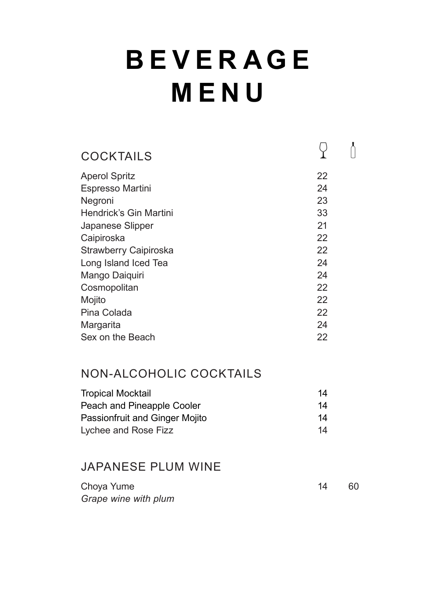# **B E V E R A G E MENU**

| <b>COCKTAILS</b>              |    |  |
|-------------------------------|----|--|
| <b>Aperol Spritz</b>          | 22 |  |
| <b>Espresso Martini</b>       | 24 |  |
| Negroni                       | 23 |  |
| <b>Hendrick's Gin Martini</b> | 33 |  |
| Japanese Slipper              | 21 |  |
| Caipiroska                    | 22 |  |
| <b>Strawberry Caipiroska</b>  | 22 |  |
| Long Island Iced Tea          | 24 |  |
| Mango Daiquiri                | 24 |  |
| Cosmopolitan                  | 22 |  |
| Mojito                        | 22 |  |
| Pina Colada                   | 22 |  |
| Margarita                     | 24 |  |
| Sex on the Beach              | 22 |  |
|                               |    |  |

# NON-ALCOHOLIC COCKTAILS

| <b>Tropical Mocktail</b>       | 14 |
|--------------------------------|----|
| Peach and Pineapple Cooler     | 14 |
| Passionfruit and Ginger Mojito | 14 |
| Lychee and Rose Fizz           | 14 |

# JAPANESE PLUM WINE

| Choya Yume           | -60 |
|----------------------|-----|
| Grape wine with plum |     |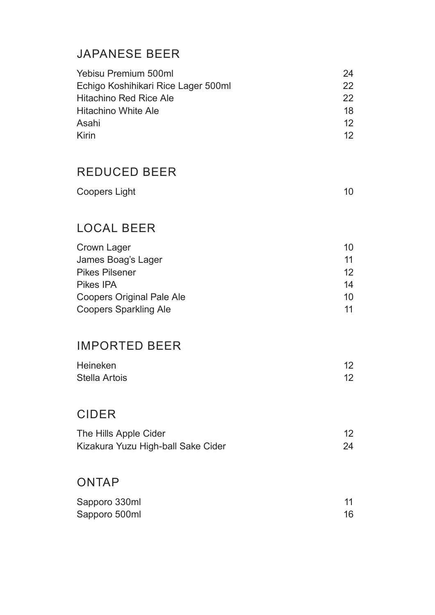# JAPANESE BEER

| Yebisu Premium 500ml                | 24              |
|-------------------------------------|-----------------|
| Echigo Koshihikari Rice Lager 500ml | 22 <sub>1</sub> |
| <b>Hitachino Red Rice Ale</b>       | 22 <sub>1</sub> |
| <b>Hitachino White Ale</b>          | 18              |
| Asahi                               | 12 <sub>1</sub> |
| Kirin                               | 12.             |

# REDUCED BEER

| <b>Coopers Light</b> |  |
|----------------------|--|
|----------------------|--|

# LOCAL BEER

| Crown Lager                      | 10 |
|----------------------------------|----|
| James Boag's Lager               | 11 |
| <b>Pikes Pilsener</b>            | 12 |
| Pikes IPA                        | 14 |
| <b>Coopers Original Pale Ale</b> | 10 |
| <b>Coopers Sparkling Ale</b>     | 11 |

# IMPORTED BEER

| Heineken      |  |
|---------------|--|
| Stella Artois |  |

# CIDER

| The Hills Apple Cider              |  |
|------------------------------------|--|
| Kizakura Yuzu High-ball Sake Cider |  |

## ONTAP

| Sapporo 330ml |  |
|---------------|--|
| Sapporo 500ml |  |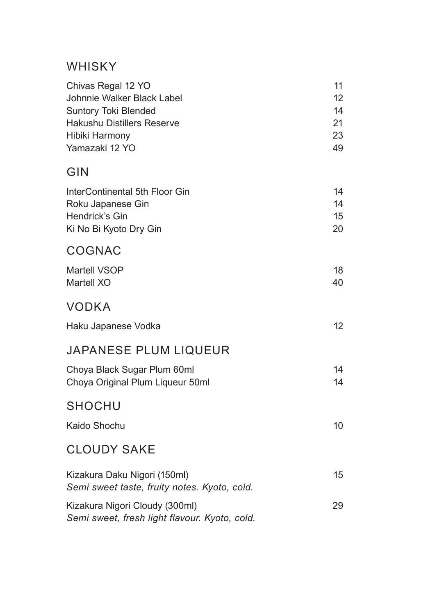## WHISKY

| Chivas Regal 12 YO<br>Johnnie Walker Black Label<br><b>Suntory Toki Blended</b><br><b>Hakushu Distillers Reserve</b><br><b>Hibiki Harmony</b><br>Yamazaki 12 YO | 11<br>12 <sub>2</sub><br>14<br>21<br>23<br>49 |
|-----------------------------------------------------------------------------------------------------------------------------------------------------------------|-----------------------------------------------|
| GIN                                                                                                                                                             |                                               |
| InterContinental 5th Floor Gin<br>Roku Japanese Gin<br><b>Hendrick's Gin</b><br>Ki No Bi Kyoto Dry Gin                                                          | 14<br>14<br>15<br>20                          |
| <b>COGNAC</b>                                                                                                                                                   |                                               |
| <b>Martell VSOP</b><br><b>Martell XO</b>                                                                                                                        | 18<br>40                                      |
| <b>VODKA</b>                                                                                                                                                    |                                               |
| Haku Japanese Vodka                                                                                                                                             | 12 <sup>2</sup>                               |
| <b>JAPANESE PLUM LIQUEUR</b>                                                                                                                                    |                                               |
| Choya Black Sugar Plum 60ml<br>Choya Original Plum Liqueur 50ml                                                                                                 | 14<br>14                                      |
| SHOCHU                                                                                                                                                          |                                               |
| <b>Kaido Shochu</b>                                                                                                                                             | 10                                            |
| <b>CLOUDY SAKE</b>                                                                                                                                              |                                               |
| Kizakura Daku Nigori (150ml)<br>Semi sweet taste, fruity notes. Kyoto, cold.                                                                                    | 15                                            |
| Kizakura Nigori Cloudy (300ml)<br>Semi sweet, fresh light flavour. Kyoto, cold.                                                                                 | 29                                            |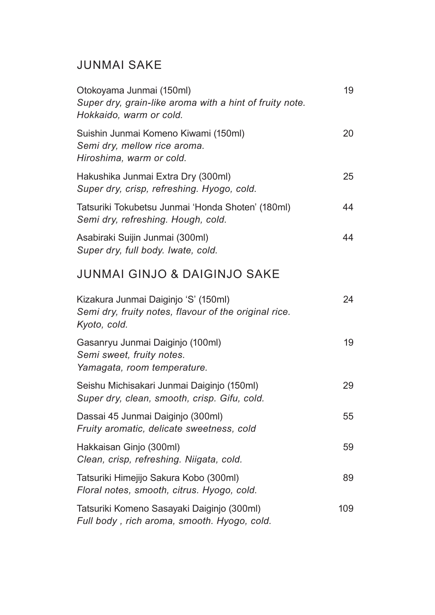# JUNMAI SAKE

| Otokoyama Junmai (150ml)<br>Super dry, grain-like aroma with a hint of fruity note.<br>Hokkaido, warm or cold. | 19  |
|----------------------------------------------------------------------------------------------------------------|-----|
| Suishin Junmai Komeno Kiwami (150ml)<br>Semi dry, mellow rice aroma.<br>Hiroshima, warm or cold.               | 20  |
| Hakushika Junmai Extra Dry (300ml)<br>Super dry, crisp, refreshing. Hyogo, cold.                               | 25  |
| Tatsuriki Tokubetsu Junmai 'Honda Shoten' (180ml)<br>Semi dry, refreshing. Hough, cold.                        | 44  |
| Asabiraki Suijin Junmai (300ml)<br>Super dry, full body. Iwate, cold.                                          | 44  |
| <b>JUNMAI GINJO &amp; DAIGINJO SAKE</b>                                                                        |     |
| Kizakura Junmai Daiginjo 'S' (150ml)<br>Semi dry, fruity notes, flavour of the original rice.<br>Kyoto, cold.  | 24  |
| Gasanryu Junmai Daiginjo (100ml)<br>Semi sweet, fruity notes.<br>Yamagata, room temperature.                   | 19  |
| Seishu Michisakari Junmai Daiginjo (150ml)<br>Super dry, clean, smooth, crisp. Gifu, cold.                     | 29  |
| Dassai 45 Junmai Daiginjo (300ml)<br>Fruity aromatic, delicate sweetness, cold                                 | 55  |
| Hakkaisan Ginjo (300ml)<br>Clean, crisp, refreshing. Niigata, cold.                                            | 59  |
| Tatsuriki Himejijo Sakura Kobo (300ml)<br>Floral notes, smooth, citrus. Hyogo, cold.                           | 89  |
| Tatsuriki Komeno Sasayaki Daiginjo (300ml)<br>Full body, rich aroma, smooth. Hyogo, cold.                      | 109 |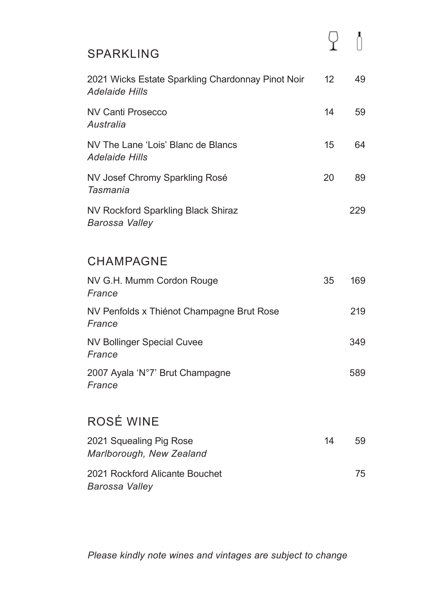### SPARKLING

| 2021 Wicks Estate Sparkling Chardonnay Pinot Noir<br><b>Adelaide Hills</b> | 12 | 49  |
|----------------------------------------------------------------------------|----|-----|
| NV Canti Prosecco<br>Australia                                             | 14 | 59  |
| NV The Lane 'Lois' Blanc de Blancs<br><b>Adelaide Hills</b>                | 15 | 64  |
| NV Josef Chromy Sparkling Rosé<br>Tasmania                                 | 20 | 89  |
| NV Rockford Sparkling Black Shiraz<br>Barossa Valley                       |    | 229 |

## CHAMPAGNE

| NV G.H. Mumm Cordon Rouge<br>France                 | 35 | 169 |
|-----------------------------------------------------|----|-----|
| NV Penfolds x Thiénot Champagne Brut Rose<br>France |    | 219 |
| NV Bollinger Special Cuvee<br>France                |    | 349 |
| 2007 Ayala 'N°7' Brut Champagne<br>France           |    | 589 |

# ROSÉ WINE

| 2021 Squealing Pig Rose<br>Marlborough, New Zealand     | 14 | 59 |
|---------------------------------------------------------|----|----|
| 2021 Rockford Alicante Bouchet<br><b>Barossa Valley</b> |    | 75 |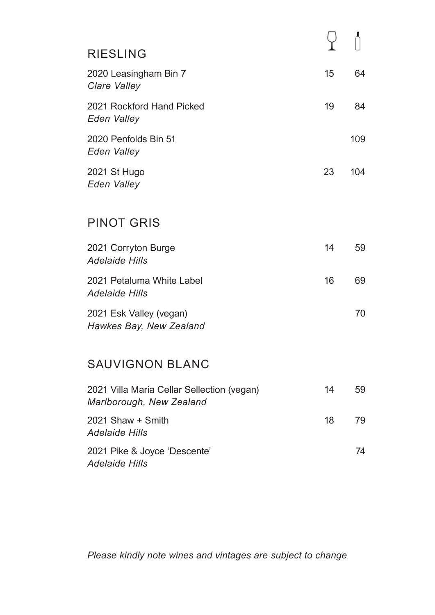| <b>RIESLING</b>                                                        |    |     |
|------------------------------------------------------------------------|----|-----|
| 2020 Leasingham Bin 7<br>Clare Valley                                  | 15 | 64  |
| 2021 Rockford Hand Picked<br>Eden Valley                               | 19 | 84  |
| 2020 Penfolds Bin 51<br>Eden Valley                                    |    | 109 |
| 2021 St Hugo<br>Eden Valley                                            | 23 | 104 |
| <b>PINOT GRIS</b>                                                      |    |     |
| 2021 Corryton Burge<br><b>Adelaide Hills</b>                           | 14 | 59  |
| 2021 Petaluma White Label<br><b>Adelaide Hills</b>                     | 16 | 69  |
| 2021 Esk Valley (vegan)<br>Hawkes Bay, New Zealand                     |    | 70  |
| <b>SAUVIGNON BLANC</b>                                                 |    |     |
| 2021 Villa Maria Cellar Sellection (vegan)<br>Marlborough, New Zealand | 14 | 59  |
| 2021 Shaw + Smith<br><b>Adelaide Hills</b>                             | 18 | 79  |
| 2021 Pike & Joyce 'Descente'                                           |    | 74  |

*Adelaide Hills*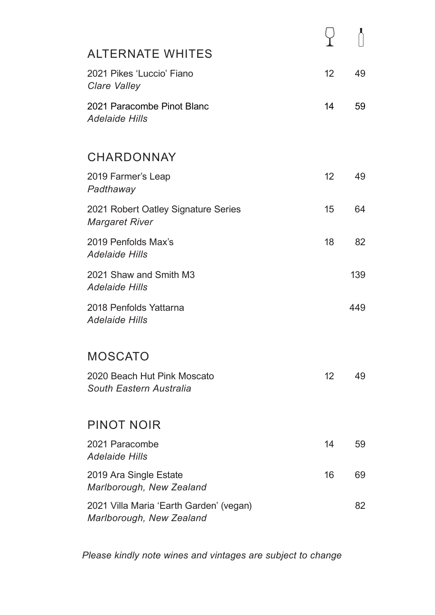| <b>ALTERNATE WHITES</b>                                             |                   |     |
|---------------------------------------------------------------------|-------------------|-----|
| 2021 Pikes 'Luccio' Fiano<br>Clare Valley                           | 12                | 49  |
| 2021 Paracombe Pinot Blanc<br><b>Adelaide Hills</b>                 | 14                | 59  |
| <b>CHARDONNAY</b>                                                   |                   |     |
| 2019 Farmer's Leap<br>Padthaway                                     | 12 <sup>2</sup>   | 49  |
| 2021 Robert Oatley Signature Series<br><b>Margaret River</b>        | 15                | 64  |
| 2019 Penfolds Max's<br><b>Adelaide Hills</b>                        | 18                | 82  |
| 2021 Shaw and Smith M3<br><b>Adelaide Hills</b>                     |                   | 139 |
| 2018 Penfolds Yattarna<br><b>Adelaide Hills</b>                     |                   | 449 |
| MOSCATO                                                             |                   |     |
| 2020 Beach Hut Pink Moscato<br>South Eastern Australia              | $12 \overline{ }$ | 49  |
|                                                                     |                   |     |
| <b>PINOT NOIR</b>                                                   |                   |     |
| 2021 Paracombe<br><b>Adelaide Hills</b>                             | 14                | 59  |
| 2019 Ara Single Estate<br>Marlborough, New Zealand                  | 16                | 69  |
| 2021 Villa Maria 'Earth Garden' (vegan)<br>Marlborough, New Zealand |                   | 82  |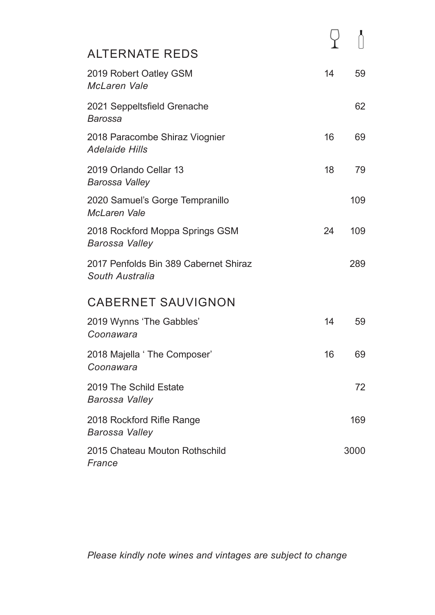| <b>ALTERNATE REDS</b>                                    |    |      |
|----------------------------------------------------------|----|------|
| 2019 Robert Oatley GSM<br><b>McLaren Vale</b>            | 14 | 59   |
| 2021 Seppeltsfield Grenache<br><b>Barossa</b>            |    | 62   |
| 2018 Paracombe Shiraz Viognier<br><b>Adelaide Hills</b>  | 16 | 69   |
| 2019 Orlando Cellar 13<br>Barossa Valley                 | 18 | 79   |
| 2020 Samuel's Gorge Tempranillo<br><b>McLaren Vale</b>   |    | 109  |
| 2018 Rockford Moppa Springs GSM<br><b>Barossa Valley</b> | 24 | 109  |
| 2017 Penfolds Bin 389 Cabernet Shiraz<br>South Australia |    | 289  |
| <b>CABERNET SAUVIGNON</b>                                |    |      |
| 2019 Wynns 'The Gabbles'<br>Coonawara                    | 14 | 59   |
| 2018 Majella ' The Composer'<br>Coonawara                | 16 | 69   |
| 2019 The Schild Estate<br><b>Barossa Valley</b>          |    | 72   |
| 2018 Rockford Rifle Range<br><b>Barossa Valley</b>       |    | 169  |
| 2015 Chateau Mouton Rothschild<br>France                 |    | 3000 |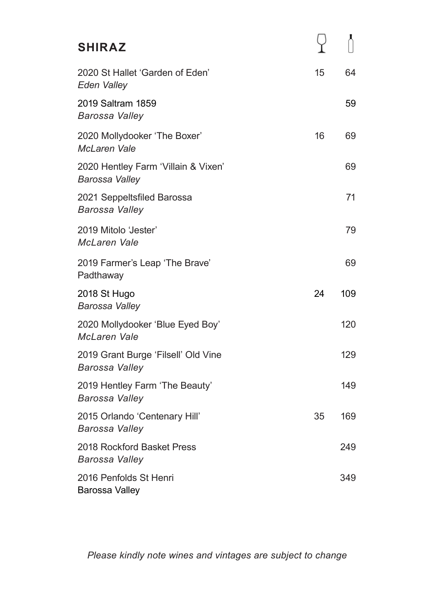| <b>SHIRAZ</b>                                                |    |     |
|--------------------------------------------------------------|----|-----|
| 2020 St Hallet 'Garden of Eden'<br><b>Eden Valley</b>        | 15 | 64  |
| 2019 Saltram 1859<br>Barossa Valley                          |    | 59  |
| 2020 Mollydooker 'The Boxer'<br><b>McLaren Vale</b>          | 16 | 69  |
| 2020 Hentley Farm 'Villain & Vixen'<br><b>Barossa Valley</b> |    | 69  |
| 2021 Seppeltsfiled Barossa<br><b>Barossa Valley</b>          |    | 71  |
| 2019 Mitolo 'Jester'<br><b>McLaren Vale</b>                  |    | 79  |
| 2019 Farmer's Leap 'The Brave'<br>Padthaway                  |    | 69  |
| 2018 St Hugo<br><b>Barossa Valley</b>                        | 24 | 109 |
| 2020 Mollydooker 'Blue Eyed Boy'<br><b>McLaren Vale</b>      |    | 120 |
| 2019 Grant Burge 'Filsell' Old Vine<br><b>Barossa Valley</b> |    | 129 |
| 2019 Hentley Farm 'The Beauty'<br>Barossa Valley             |    | 149 |
| 2015 Orlando 'Centenary Hill'<br><b>Barossa Valley</b>       | 35 | 169 |
| 2018 Rockford Basket Press<br>Barossa Valley                 |    | 249 |
| 2016 Penfolds St Henri<br><b>Barossa Valley</b>              |    | 349 |